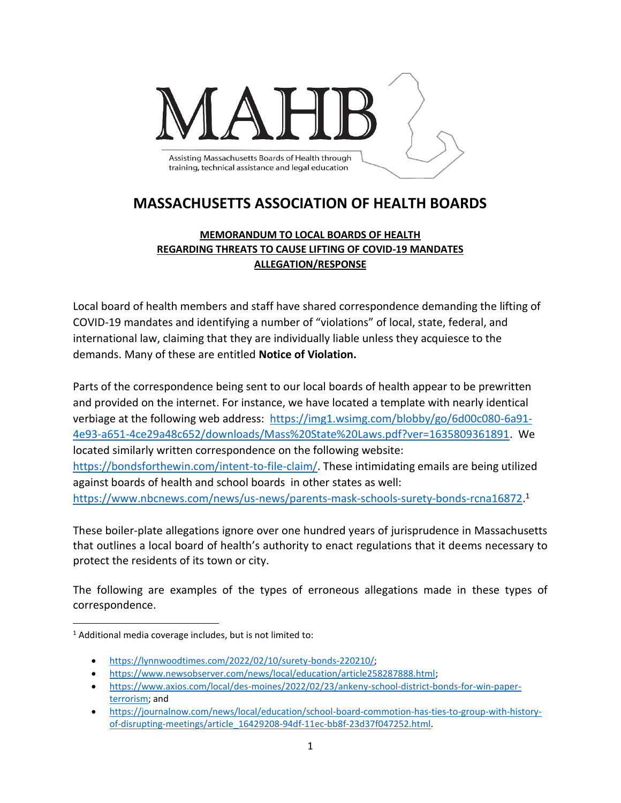

## **MASSACHUSETTS ASSOCIATION OF HEALTH BOARDS**

## **MEMORANDUM TO LOCAL BOARDS OF HEALTH REGARDING THREATS TO CAUSE LIFTING OF COVID-19 MANDATES ALLEGATION/RESPONSE**

Local board of health members and staff have shared correspondence demanding the lifting of COVID-19 mandates and identifying a number of "violations" of local, state, federal, and international law, claiming that they are individually liable unless they acquiesce to the demands. Many of these are entitled **Notice of Violation.**

Parts of the correspondence being sent to our local boards of health appear to be prewritten and provided on the internet. For instance, we have located a template with nearly identical verbiage at the following web address: [https://img1.wsimg.com/blobby/go/6d00c080-6a91-](https://img1.wsimg.com/blobby/go/6d00c080-6a91-4e93-a651-4ce29a48c652/downloads/Mass%20State%20Laws.pdf?ver=1635809361891) [4e93-a651-4ce29a48c652/downloads/Mass%20State%20Laws.pdf?ver=1635809361891.](https://img1.wsimg.com/blobby/go/6d00c080-6a91-4e93-a651-4ce29a48c652/downloads/Mass%20State%20Laws.pdf?ver=1635809361891) We located similarly written correspondence on the following website: [https://bondsforthewin.com/intent-to-file-claim/.](https://bondsforthewin.com/intent-to-file-claim/) These intimidating emails are being utilized against boards of health and school boards in other states as well: [https://www.nbcnews.com/news/us-news/parents-mask-schools-surety-bonds-rcna16872.](https://www.nbcnews.com/news/us-news/parents-mask-schools-surety-bonds-rcna16872) 1

These boiler-plate allegations ignore over one hundred years of jurisprudence in Massachusetts that outlines a local board of health's authority to enact regulations that it deems necessary to protect the residents of its town or city.

The following are examples of the types of erroneous allegations made in these types of correspondence.

- [https://lynnwoodtimes.com/2022/02/10/surety-bonds-220210/;](https://lynnwoodtimes.com/2022/02/10/surety-bonds-220210/)
- [https://www.newsobserver.com/news/local/education/article258287888.html;](https://www.newsobserver.com/news/local/education/article258287888.html)
- [https://www.axios.com/local/des-moines/2022/02/23/ankeny-school-district-bonds-for-win-paper](https://www.axios.com/local/des-moines/2022/02/23/ankeny-school-district-bonds-for-win-paper-terrorism)[terrorism;](https://www.axios.com/local/des-moines/2022/02/23/ankeny-school-district-bonds-for-win-paper-terrorism) and

 $1$  Additional media coverage includes, but is not limited to:

<sup>•</sup> [https://journalnow.com/news/local/education/school-board-commotion-has-ties-to-group-with-history](https://journalnow.com/news/local/education/school-board-commotion-has-ties-to-group-with-history-of-disrupting-meetings/article_16429208-94df-11ec-bb8f-23d37f047252.html)[of-disrupting-meetings/article\\_16429208-94df-11ec-bb8f-23d37f047252.html.](https://journalnow.com/news/local/education/school-board-commotion-has-ties-to-group-with-history-of-disrupting-meetings/article_16429208-94df-11ec-bb8f-23d37f047252.html)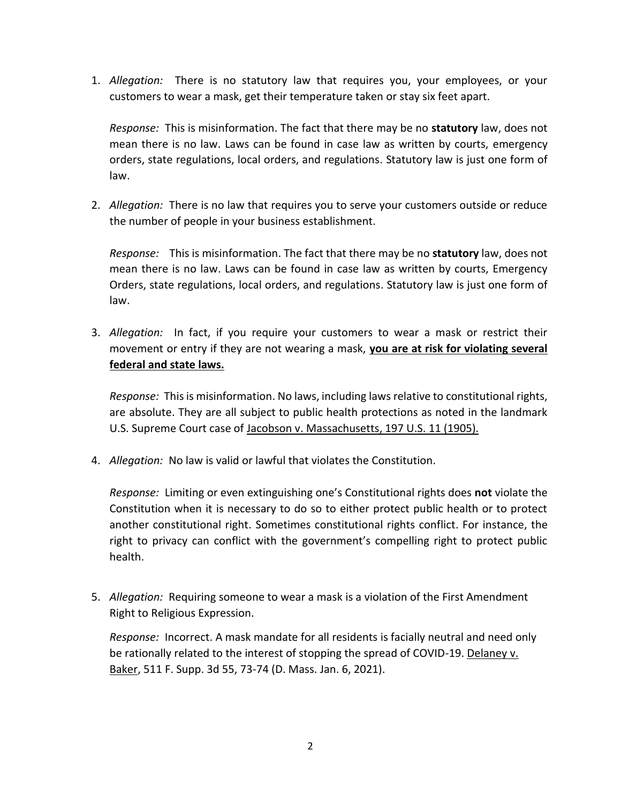1. *Allegation:* There is no statutory law that requires you, your employees, or your customers to wear a mask, get their temperature taken or stay six feet apart.

*Response:* This is misinformation. The fact that there may be no **statutory** law, does not mean there is no law. Laws can be found in case law as written by courts, emergency orders, state regulations, local orders, and regulations. Statutory law is just one form of law.

2. *Allegation:* There is no law that requires you to serve your customers outside or reduce the number of people in your business establishment.

*Response:* This is misinformation. The fact that there may be no **statutory** law, does not mean there is no law. Laws can be found in case law as written by courts, Emergency Orders, state regulations, local orders, and regulations. Statutory law is just one form of law.

3. *Allegation:* In fact, if you require your customers to wear a mask or restrict their movement or entry if they are not wearing a mask, **you are at risk for violating several federal and state laws.**

*Response:* This is misinformation. No laws, including laws relative to constitutional rights, are absolute. They are all subject to public health protections as noted in the landmark U.S. Supreme Court case of Jacobson v. Massachusetts, 197 U.S. 11 (1905).

4. *Allegation:* No law is valid or lawful that violates the Constitution.

*Response:* Limiting or even extinguishing one's Constitutional rights does **not** violate the Constitution when it is necessary to do so to either protect public health or to protect another constitutional right. Sometimes constitutional rights conflict. For instance, the right to privacy can conflict with the government's compelling right to protect public health.

5. *Allegation:* Requiring someone to wear a mask is a violation of the First Amendment Right to Religious Expression.

*Response:* Incorrect. A mask mandate for all residents is facially neutral and need only be rationally related to the interest of stopping the spread of COVID-19. Delaney v. Baker, 511 F. Supp. 3d 55, 73-74 (D. Mass. Jan. 6, 2021).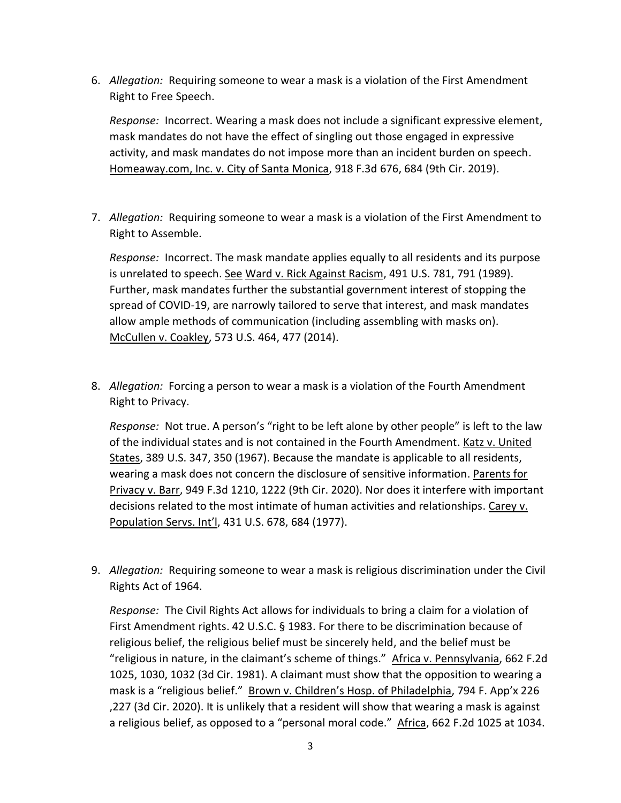6. *Allegation:* Requiring someone to wear a mask is a violation of the First Amendment Right to Free Speech.

*Response:* Incorrect. Wearing a mask does not include a significant expressive element, mask mandates do not have the effect of singling out those engaged in expressive activity, and mask mandates do not impose more than an incident burden on speech. Homeaway.com, Inc. v. City of Santa Monica, 918 F.3d 676, 684 (9th Cir. 2019).

7. *Allegation:* Requiring someone to wear a mask is a violation of the First Amendment to Right to Assemble.

*Response:* Incorrect. The mask mandate applies equally to all residents and its purpose is unrelated to speech. See Ward v. Rick Against Racism, 491 U.S. 781, 791 (1989). Further, mask mandates further the substantial government interest of stopping the spread of COVID-19, are narrowly tailored to serve that interest, and mask mandates allow ample methods of communication (including assembling with masks on). McCullen v. Coakley, 573 U.S. 464, 477 (2014).

8. *Allegation:* Forcing a person to wear a mask is a violation of the Fourth Amendment Right to Privacy.

*Response:* Not true. A person's "right to be left alone by other people" is left to the law of the individual states and is not contained in the Fourth Amendment. Katz v. United States, 389 U.S. 347, 350 (1967). Because the mandate is applicable to all residents, wearing a mask does not concern the disclosure of sensitive information. Parents for Privacy v. Barr, 949 F.3d 1210, 1222 (9th Cir. 2020). Nor does it interfere with important decisions related to the most intimate of human activities and relationships. Carey v. Population Servs. Int'l, 431 U.S. 678, 684 (1977).

9. *Allegation:* Requiring someone to wear a mask is religious discrimination under the Civil Rights Act of 1964.

*Response:* The Civil Rights Act allows for individuals to bring a claim for a violation of First Amendment rights. 42 U.S.C. § 1983. For there to be discrimination because of religious belief, the religious belief must be sincerely held, and the belief must be "religious in nature, in the claimant's scheme of things." Africa v. Pennsylvania, 662 F.2d 1025, 1030, 1032 (3d Cir. 1981). A claimant must show that the opposition to wearing a mask is a "religious belief." Brown v. Children's Hosp. of Philadelphia, 794 F. App'x 226 ,227 (3d Cir. 2020). It is unlikely that a resident will show that wearing a mask is against a religious belief, as opposed to a "personal moral code." Africa, 662 F.2d 1025 at 1034.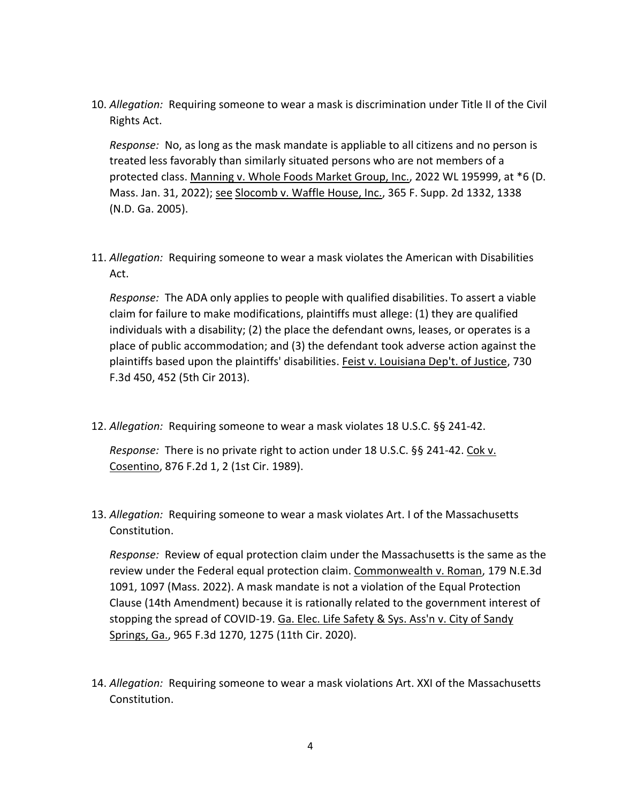10. *Allegation:* Requiring someone to wear a mask is discrimination under Title II of the Civil Rights Act.

*Response:* No, as long as the mask mandate is appliable to all citizens and no person is treated less favorably than similarly situated persons who are not members of a protected class. Manning v. Whole Foods Market Group, Inc., 2022 WL 195999, at \*6 (D. Mass. Jan. 31, 2022); see Slocomb v. Waffle House, Inc., 365 F. Supp. 2d 1332, 1338 (N.D. Ga. 2005).

11. *Allegation:* Requiring someone to wear a mask violates the American with Disabilities Act.

*Response:* The ADA only applies to people with qualified disabilities. To assert a viable claim for failure to make modifications, plaintiffs must allege: (1) they are qualified individuals with a disability; (2) the place the defendant owns, leases, or operates is a place of public accommodation; and (3) the defendant took adverse action against the plaintiffs based upon the plaintiffs' disabilities. Feist v. Louisiana Dep't. of Justice, 730 F.3d 450, 452 (5th Cir 2013).

12. *Allegation:* Requiring someone to wear a mask violates 18 U.S.C. §§ 241-42.

*Response:* There is no private right to action under 18 U.S.C. §§ 241-42. Cok v. Cosentino, 876 F.2d 1, 2 (1st Cir. 1989).

13. *Allegation:* Requiring someone to wear a mask violates Art. I of the Massachusetts Constitution.

*Response:* Review of equal protection claim under the Massachusetts is the same as the review under the Federal equal protection claim. Commonwealth v. Roman, 179 N.E.3d 1091, 1097 (Mass. 2022). A mask mandate is not a violation of the Equal Protection Clause (14th Amendment) because it is rationally related to the government interest of stopping the spread of COVID-19. Ga. Elec. Life Safety & Sys. Ass'n v. City of Sandy Springs, Ga., 965 F.3d 1270, 1275 (11th Cir. 2020).

14. *Allegation:* Requiring someone to wear a mask violations Art. XXI of the Massachusetts Constitution.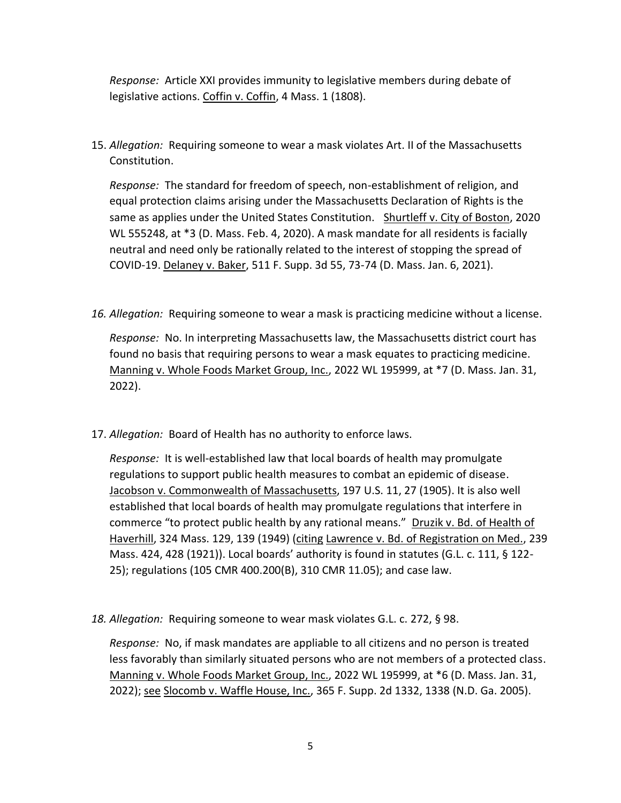*Response:* Article XXI provides immunity to legislative members during debate of legislative actions. Coffin v. Coffin, 4 Mass. 1 (1808).

15. *Allegation:* Requiring someone to wear a mask violates Art. II of the Massachusetts Constitution.

*Response:* The standard for freedom of speech, non-establishment of religion, and equal protection claims arising under the Massachusetts Declaration of Rights is the same as applies under the United States Constitution. Shurtleff v. City of Boston, 2020 WL 555248, at \*3 (D. Mass. Feb. 4, 2020). A mask mandate for all residents is facially neutral and need only be rationally related to the interest of stopping the spread of COVID-19. Delaney v. Baker, 511 F. Supp. 3d 55, 73-74 (D. Mass. Jan. 6, 2021).

*16. Allegation:* Requiring someone to wear a mask is practicing medicine without a license.

*Response:* No. In interpreting Massachusetts law, the Massachusetts district court has found no basis that requiring persons to wear a mask equates to practicing medicine. Manning v. Whole Foods Market Group, Inc., 2022 WL 195999, at \*7 (D. Mass. Jan. 31, 2022).

17. *Allegation:* Board of Health has no authority to enforce laws.

*Response:* It is well-established law that local boards of health may promulgate regulations to support public health measures to combat an epidemic of disease. Jacobson v. Commonwealth of Massachusetts, 197 U.S. 11, 27 (1905). It is also well established that local boards of health may promulgate regulations that interfere in commerce "to protect public health by any rational means." Druzik v. Bd. of Health of Haverhill, 324 Mass. 129, 139 (1949) (citing Lawrence v. Bd. of Registration on Med., 239 Mass. 424, 428 (1921)). Local boards' authority is found in statutes (G.L. c. 111, § 122-25); regulations (105 CMR 400.200(B), 310 CMR 11.05); and case law.

*18. Allegation:* Requiring someone to wear mask violates G.L. c. 272, § 98.

*Response:* No, if mask mandates are appliable to all citizens and no person is treated less favorably than similarly situated persons who are not members of a protected class. Manning v. Whole Foods Market Group, Inc., 2022 WL 195999, at \*6 (D. Mass. Jan. 31, 2022); see Slocomb v. Waffle House, Inc., 365 F. Supp. 2d 1332, 1338 (N.D. Ga. 2005).